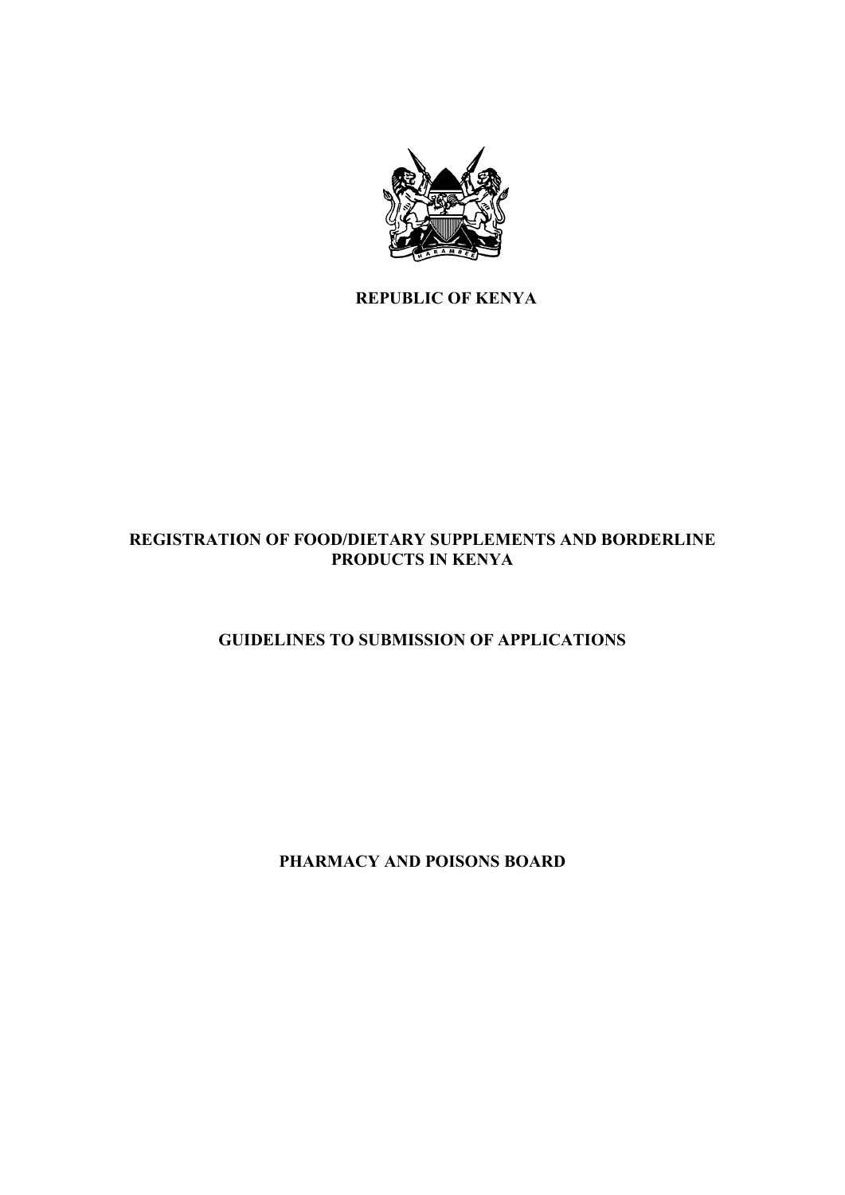

**REPUBLIC OF KENYA** 

# **REGISTRATION OF FOOD/DIETARY SUPPLEMENTS AND BORDERLINE PRODUCTS IN KENYA**

# **GUIDELINES TO SUBMISSION OF APPLICATIONS**

**PHARMACY AND POISONS BOARD**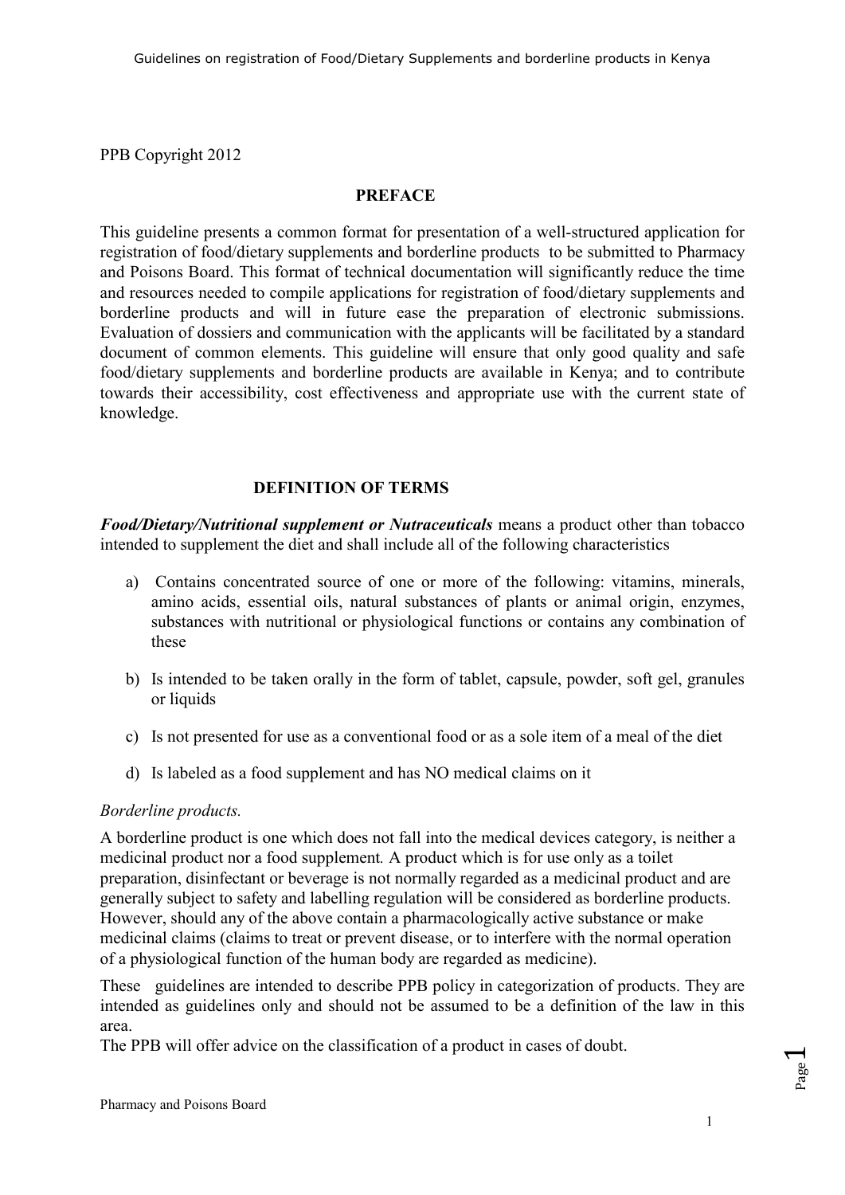PPB Copyright 2012

#### **PREFACE**

This guideline presents a common format for presentation of a well-structured application for registration of food/dietary supplements and borderline products to be submitted to Pharmacy and Poisons Board. This format of technical documentation will significantly reduce the time and resources needed to compile applications for registration of food/dietary supplements and borderline products and will in future ease the preparation of electronic submissions. Evaluation of dossiers and communication with the applicants will be facilitated by a standard document of common elements. This guideline will ensure that only good quality and safe food/dietary supplements and borderline products are available in Kenya; and to contribute towards their accessibility, cost effectiveness and appropriate use with the current state of knowledge.

# **DEFINITION OF TERMS**

*Food/Dietary/Nutritional supplement or Nutraceuticals* means a product other than tobacco intended to supplement the diet and shall include all of the following characteristics

- a) Contains concentrated source of one or more of the following: vitamins, minerals, amino acids, essential oils, natural substances of plants or animal origin, enzymes, substances with nutritional or physiological functions or contains any combination of these
- b) Is intended to be taken orally in the form of tablet, capsule, powder, soft gel, granules or liquids
- c) Is not presented for use as a conventional food or as a sole item of a meal of the diet
- d) Is labeled as a food supplement and has NO medical claims on it

#### *Borderline products.*

A borderline product is one which does not fall into the medical devices category, is neither a medicinal product nor a food supplement*.* A product which is for use only as a toilet preparation, disinfectant or beverage is not normally regarded as a medicinal product and are generally subject to safety and labelling regulation will be considered as borderline products. However, should any of the above contain a pharmacologically active substance or make medicinal claims (claims to treat or prevent disease, or to interfere with the normal operation of a physiological function of the human body are regarded as medicine).

These guidelines are intended to describe PPB policy in categorization of products. They are intended as guidelines only and should not be assumed to be a definition of the law in this area.

The PPB will offer advice on the classification of a product in cases of doubt.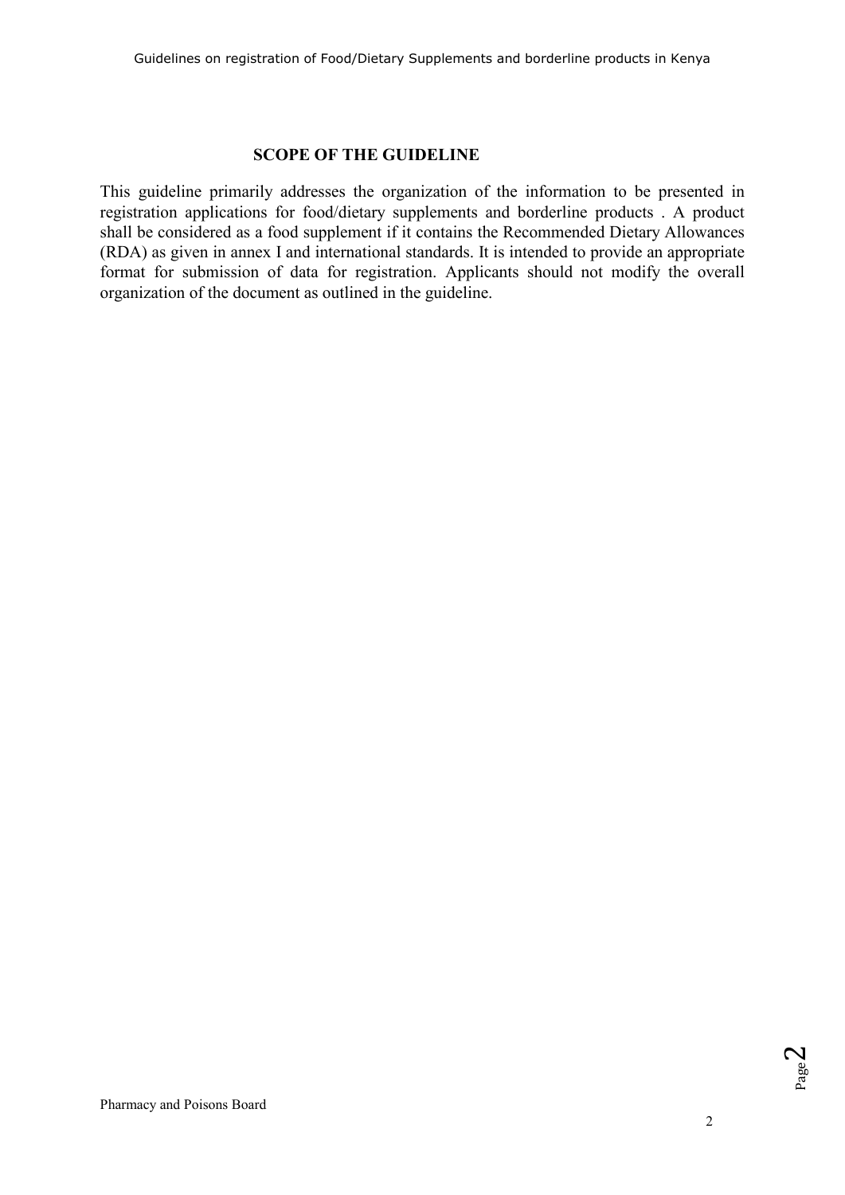#### **SCOPE OF THE GUIDELINE**

This guideline primarily addresses the organization of the information to be presented in registration applications for food/dietary supplements and borderline products . A product shall be considered as a food supplement if it contains the Recommended Dietary Allowances (RDA) as given in annex I and international standards. It is intended to provide an appropriate format for submission of data for registration. Applicants should not modify the overall organization of the document as outlined in the guideline.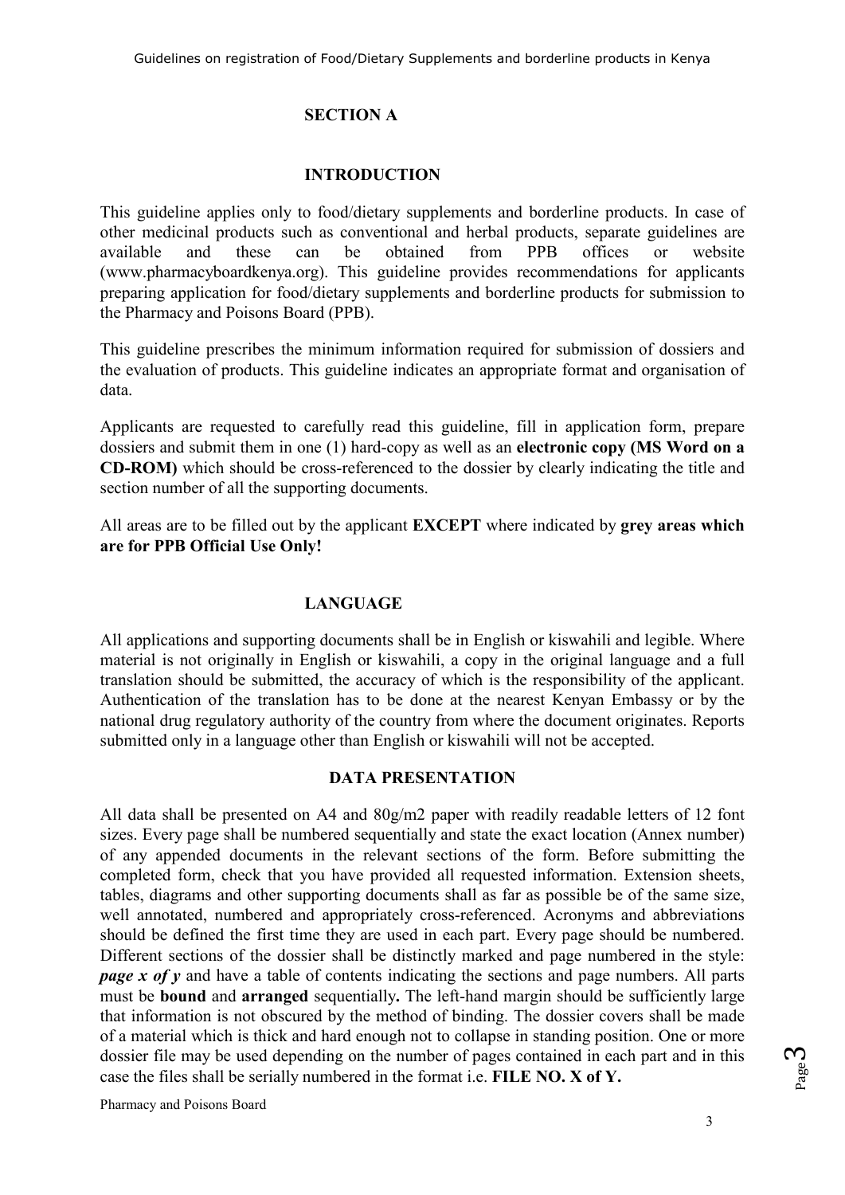# **SECTION A**

### **INTRODUCTION**

This guideline applies only to food/dietary supplements and borderline products. In case of other medicinal products such as conventional and herbal products, separate guidelines are available and these can be obtained from PPB offices or website (www.pharmacyboardkenya.org). This guideline provides recommendations for applicants preparing application for food/dietary supplements and borderline products for submission to the Pharmacy and Poisons Board (PPB).

This guideline prescribes the minimum information required for submission of dossiers and the evaluation of products. This guideline indicates an appropriate format and organisation of data.

Applicants are requested to carefully read this guideline, fill in application form, prepare dossiers and submit them in one (1) hard-copy as well as an **electronic copy (MS Word on a CD-ROM)** which should be cross-referenced to the dossier by clearly indicating the title and section number of all the supporting documents.

All areas are to be filled out by the applicant **EXCEPT** where indicated by **grey areas which are for PPB Official Use Only!** 

# **LANGUAGE**

All applications and supporting documents shall be in English or kiswahili and legible. Where material is not originally in English or kiswahili, a copy in the original language and a full translation should be submitted, the accuracy of which is the responsibility of the applicant. Authentication of the translation has to be done at the nearest Kenyan Embassy or by the national drug regulatory authority of the country from where the document originates. Reports submitted only in a language other than English or kiswahili will not be accepted.

#### **DATA PRESENTATION**

All data shall be presented on A4 and 80g/m2 paper with readily readable letters of 12 font sizes. Every page shall be numbered sequentially and state the exact location (Annex number) of any appended documents in the relevant sections of the form. Before submitting the completed form, check that you have provided all requested information. Extension sheets, tables, diagrams and other supporting documents shall as far as possible be of the same size, well annotated, numbered and appropriately cross-referenced. Acronyms and abbreviations should be defined the first time they are used in each part. Every page should be numbered. Different sections of the dossier shall be distinctly marked and page numbered in the style: *page x of y* and have a table of contents indicating the sections and page numbers. All parts must be **bound** and **arranged** sequentially**.** The left-hand margin should be sufficiently large that information is not obscured by the method of binding. The dossier covers shall be made of a material which is thick and hard enough not to collapse in standing position. One or more dossier file may be used depending on the number of pages contained in each part and in this case the files shall be serially numbered in the format i.e. **FILE NO. X of Y.**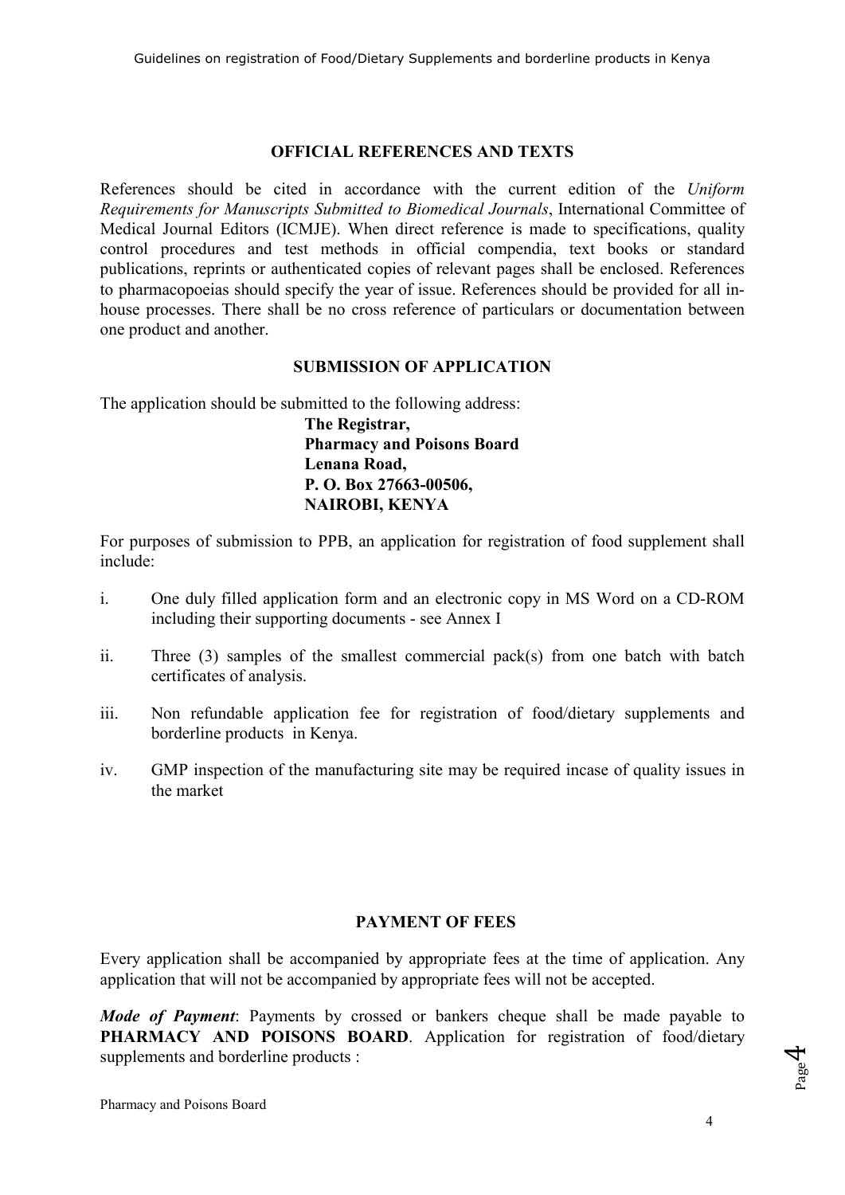#### **OFFICIAL REFERENCES AND TEXTS**

References should be cited in accordance with the current edition of the *Uniform Requirements for Manuscripts Submitted to Biomedical Journals*, International Committee of Medical Journal Editors (ICMJE). When direct reference is made to specifications, quality control procedures and test methods in official compendia, text books or standard publications, reprints or authenticated copies of relevant pages shall be enclosed. References to pharmacopoeias should specify the year of issue. References should be provided for all inhouse processes. There shall be no cross reference of particulars or documentation between one product and another.

#### **SUBMISSION OF APPLICATION**

The application should be submitted to the following address:

**The Registrar, Pharmacy and Poisons Board Lenana Road, P. O. Box 27663-00506, NAIROBI, KENYA** 

For purposes of submission to PPB, an application for registration of food supplement shall include:

- i. One duly filled application form and an electronic copy in MS Word on a CD-ROM including their supporting documents - see Annex I
- ii. Three (3) samples of the smallest commercial pack(s) from one batch with batch certificates of analysis.
- iii. Non refundable application fee for registration of food/dietary supplements and borderline products in Kenya.
- iv. GMP inspection of the manufacturing site may be required incase of quality issues in the market

# **PAYMENT OF FEES**

Every application shall be accompanied by appropriate fees at the time of application. Any application that will not be accompanied by appropriate fees will not be accepted.

*Mode of Payment*: Payments by crossed or bankers cheque shall be made payable to PHARMACY AND POISONS BOARD. Application for registration of food/dietary supplements and borderline products :

Page<sub>4</sub>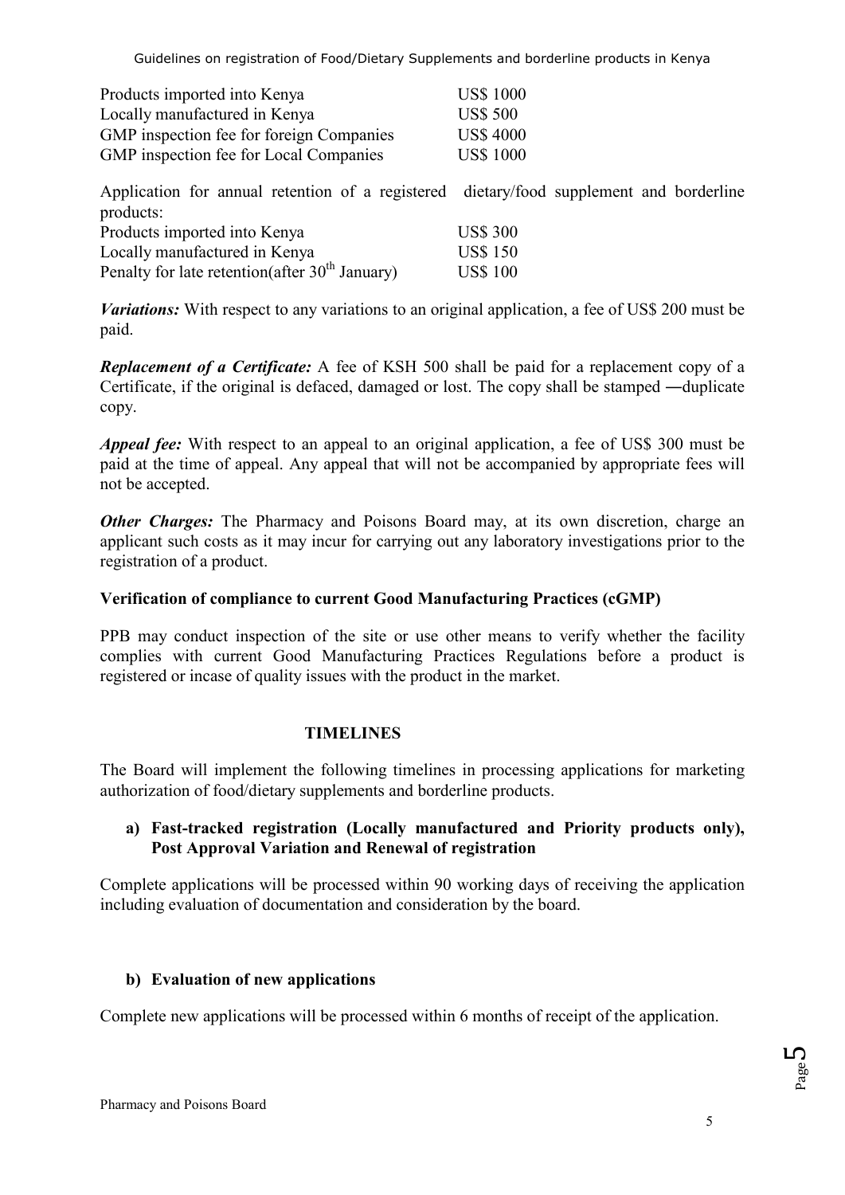| Products imported into Kenya             | <b>US\$ 1000</b> |
|------------------------------------------|------------------|
| Locally manufactured in Kenya            | <b>US\$ 500</b>  |
| GMP inspection fee for foreign Companies | <b>US\$ 4000</b> |
| GMP inspection fee for Local Companies   | <b>US\$ 1000</b> |

Application for annual retention of a registered dietary/food supplement and borderline products:

| Products imported into Kenya                               | <b>US\$ 300</b> |
|------------------------------------------------------------|-----------------|
| Locally manufactured in Kenya                              | <b>US\$ 150</b> |
| Penalty for late retention(after 30 <sup>th</sup> January) | <b>US\$ 100</b> |

*Variations:* With respect to any variations to an original application, a fee of US\$ 200 must be paid.

*Replacement of a Certificate:* A fee of KSH 500 shall be paid for a replacement copy of a Certificate, if the original is defaced, damaged or lost. The copy shall be stamped ―duplicate copy.

*Appeal fee:* With respect to an appeal to an original application, a fee of US\$ 300 must be paid at the time of appeal. Any appeal that will not be accompanied by appropriate fees will not be accepted.

*Other Charges:* The Pharmacy and Poisons Board may, at its own discretion, charge an applicant such costs as it may incur for carrying out any laboratory investigations prior to the registration of a product.

# **Verification of compliance to current Good Manufacturing Practices (cGMP)**

PPB may conduct inspection of the site or use other means to verify whether the facility complies with current Good Manufacturing Practices Regulations before a product is registered or incase of quality issues with the product in the market.

# **TIMELINES**

The Board will implement the following timelines in processing applications for marketing authorization of food/dietary supplements and borderline products.

# **a) Fast-tracked registration (Locally manufactured and Priority products only), Post Approval Variation and Renewal of registration**

Complete applications will be processed within 90 working days of receiving the application including evaluation of documentation and consideration by the board.

# **b) Evaluation of new applications**

Complete new applications will be processed within 6 months of receipt of the application.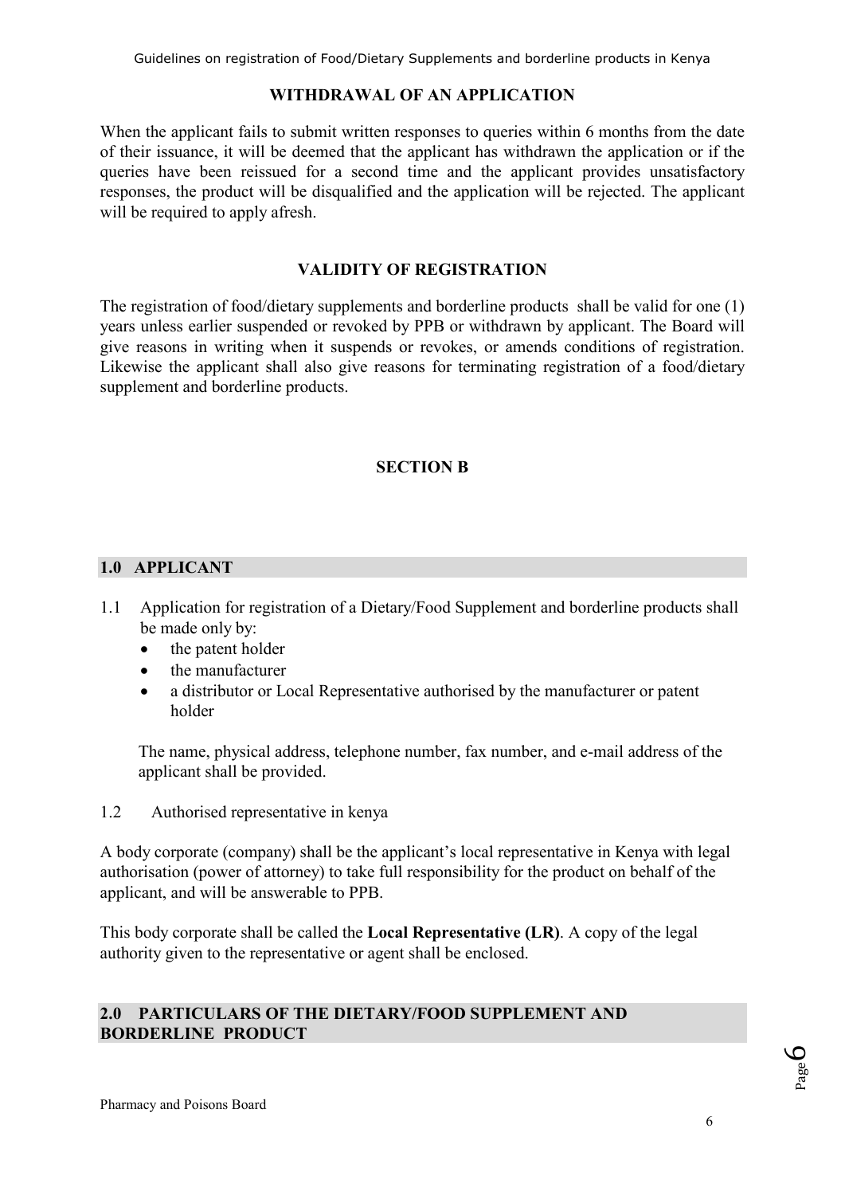### **WITHDRAWAL OF AN APPLICATION**

When the applicant fails to submit written responses to queries within 6 months from the date of their issuance, it will be deemed that the applicant has withdrawn the application or if the queries have been reissued for a second time and the applicant provides unsatisfactory responses, the product will be disqualified and the application will be rejected. The applicant will be required to apply afresh.

### **VALIDITY OF REGISTRATION**

The registration of food/dietary supplements and borderline products shall be valid for one (1) years unless earlier suspended or revoked by PPB or withdrawn by applicant. The Board will give reasons in writing when it suspends or revokes, or amends conditions of registration. Likewise the applicant shall also give reasons for terminating registration of a food/dietary supplement and borderline products.

# **SECTION B**

# **1.0 APPLICANT**

- 1.1 Application for registration of a Dietary/Food Supplement and borderline products shall be made only by:
	- the patent holder
	- the manufacturer
	- a distributor or Local Representative authorised by the manufacturer or patent holder

The name, physical address, telephone number, fax number, and e-mail address of the applicant shall be provided.

1.2 Authorised representative in kenya

A body corporate (company) shall be the applicant's local representative in Kenya with legal authorisation (power of attorney) to take full responsibility for the product on behalf of the applicant, and will be answerable to PPB.

This body corporate shall be called the **Local Representative (LR)**. A copy of the legal authority given to the representative or agent shall be enclosed.

# **2.0 PARTICULARS OF THE DIETARY/FOOD SUPPLEMENT AND BORDERLINE PRODUCT**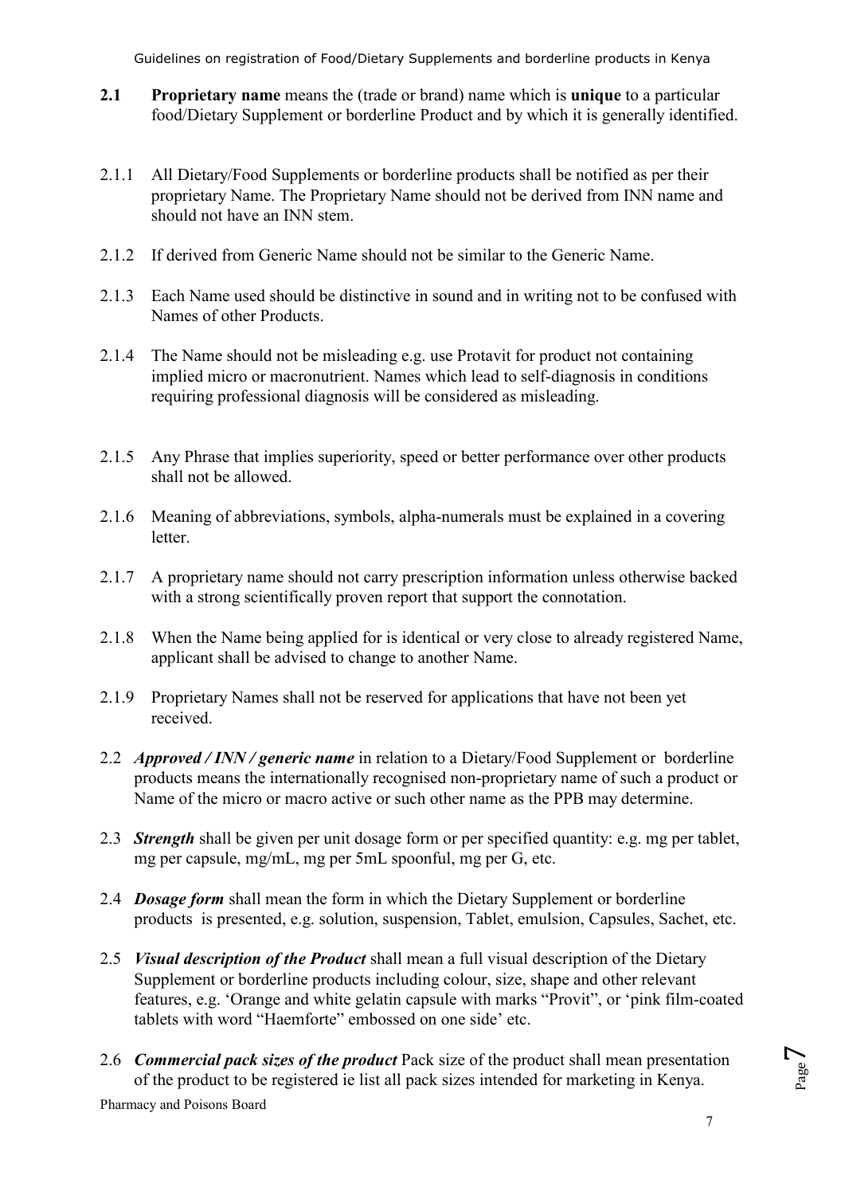- **2.1 Proprietary name** means the (trade or brand) name which is **unique** to a particular food/Dietary Supplement or borderline Product and by which it is generally identified.
- 2.1.1 All Dietary/Food Supplements or borderline products shall be notified as per their proprietary Name. The Proprietary Name should not be derived from INN name and should not have an INN stem.
- 2.1.2 If derived from Generic Name should not be similar to the Generic Name.
- 2.1.3 Each Name used should be distinctive in sound and in writing not to be confused with Names of other Products.
- 2.1.4 The Name should not be misleading e.g. use Protavit for product not containing implied micro or macronutrient. Names which lead to self-diagnosis in conditions requiring professional diagnosis will be considered as misleading.
- 2.1.5 Any Phrase that implies superiority, speed or better performance over other products shall not be allowed.
- 2.1.6 Meaning of abbreviations, symbols, alpha-numerals must be explained in a covering letter.
- 2.1.7 A proprietary name should not carry prescription information unless otherwise backed with a strong scientifically proven report that support the connotation.
- 2.1.8 When the Name being applied for is identical or very close to already registered Name, applicant shall be advised to change to another Name.
- 2.1.9 Proprietary Names shall not be reserved for applications that have not been yet received.
- 2.2 *Approved / INN / generic name* in relation to a Dietary/Food Supplement or borderline products means the internationally recognised non-proprietary name of such a product or Name of the micro or macro active or such other name as the PPB may determine.
- 2.3 *Strength* shall be given per unit dosage form or per specified quantity: e.g. mg per tablet, mg per capsule, mg/mL, mg per 5mL spoonful, mg per G, etc.
- 2.4 *Dosage form* shall mean the form in which the Dietary Supplement or borderline products is presented, e.g. solution, suspension, Tablet, emulsion, Capsules, Sachet, etc.
- 2.5 *Visual description of the Product* shall mean a full visual description of the Dietary Supplement or borderline products including colour, size, shape and other relevant features, e.g. 'Orange and white gelatin capsule with marks "Provit", or 'pink film-coated tablets with word "Haemforte" embossed on one side' etc.
- 2.6 *Commercial pack sizes of the product* Pack size of the product shall mean presentation of the product to be registered ie list all pack sizes intended for marketing in Kenya.

Pharmacy and Poisons Board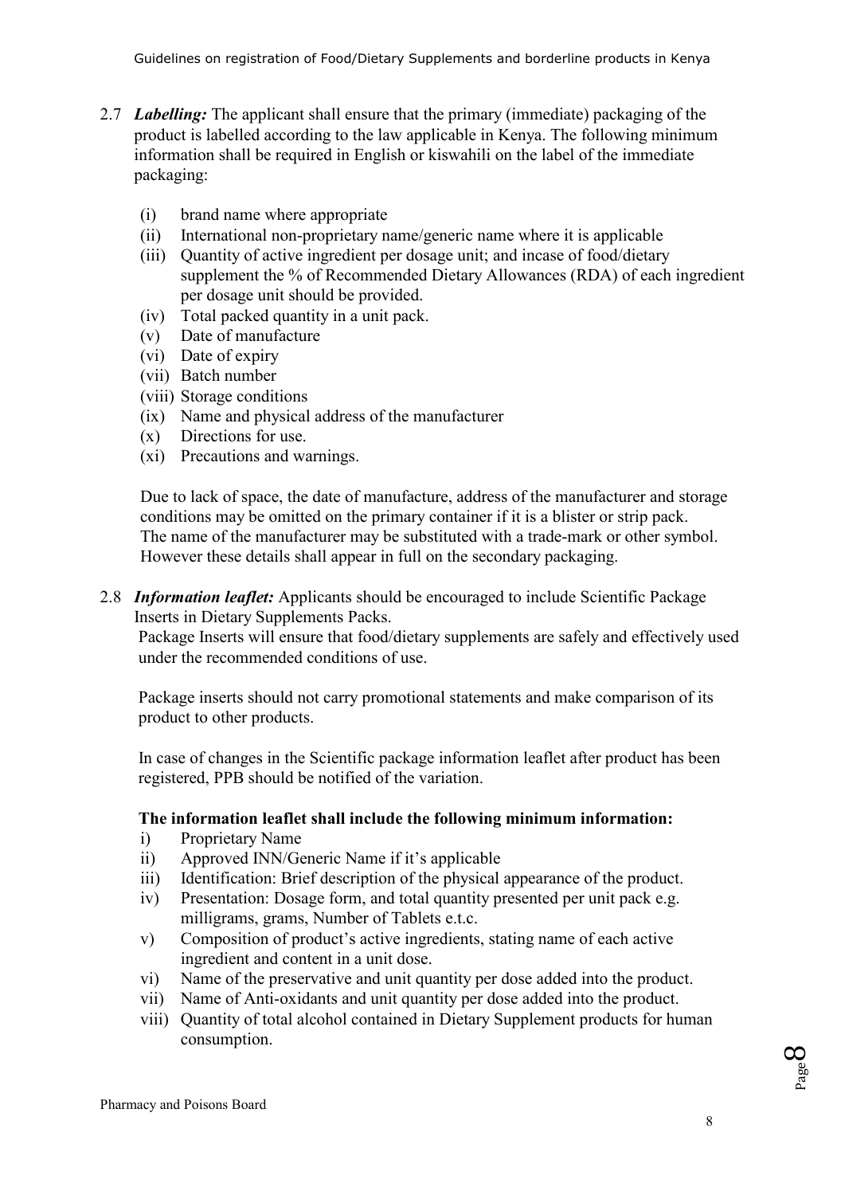- 2.7 *Labelling:* The applicant shall ensure that the primary (immediate) packaging of the product is labelled according to the law applicable in Kenya. The following minimum information shall be required in English or kiswahili on the label of the immediate packaging:
	- (i) brand name where appropriate
	- (ii) International non-proprietary name/generic name where it is applicable
	- (iii) Quantity of active ingredient per dosage unit; and incase of food/dietary supplement the % of Recommended Dietary Allowances (RDA) of each ingredient per dosage unit should be provided.
	- (iv) Total packed quantity in a unit pack.
	- (v) Date of manufacture
	- (vi) Date of expiry
	- (vii) Batch number
	- (viii) Storage conditions
	- (ix) Name and physical address of the manufacturer
	- (x) Directions for use.
	- (xi) Precautions and warnings.

Due to lack of space, the date of manufacture, address of the manufacturer and storage conditions may be omitted on the primary container if it is a blister or strip pack. The name of the manufacturer may be substituted with a trade-mark or other symbol. However these details shall appear in full on the secondary packaging.

2.8 *Information leaflet:* Applicants should be encouraged to include Scientific Package Inserts in Dietary Supplements Packs.

Package Inserts will ensure that food/dietary supplements are safely and effectively used under the recommended conditions of use.

Package inserts should not carry promotional statements and make comparison of its product to other products.

In case of changes in the Scientific package information leaflet after product has been registered, PPB should be notified of the variation.

# **The information leaflet shall include the following minimum information:**

- i) Proprietary Name
- ii) Approved INN/Generic Name if it's applicable
- iii) Identification: Brief description of the physical appearance of the product.
- iv) Presentation: Dosage form, and total quantity presented per unit pack e.g. milligrams, grams, Number of Tablets e.t.c.
- v) Composition of product's active ingredients, stating name of each active ingredient and content in a unit dose.
- vi) Name of the preservative and unit quantity per dose added into the product.
- vii) Name of Anti-oxidants and unit quantity per dose added into the product.
- viii) Quantity of total alcohol contained in Dietary Supplement products for human consumption.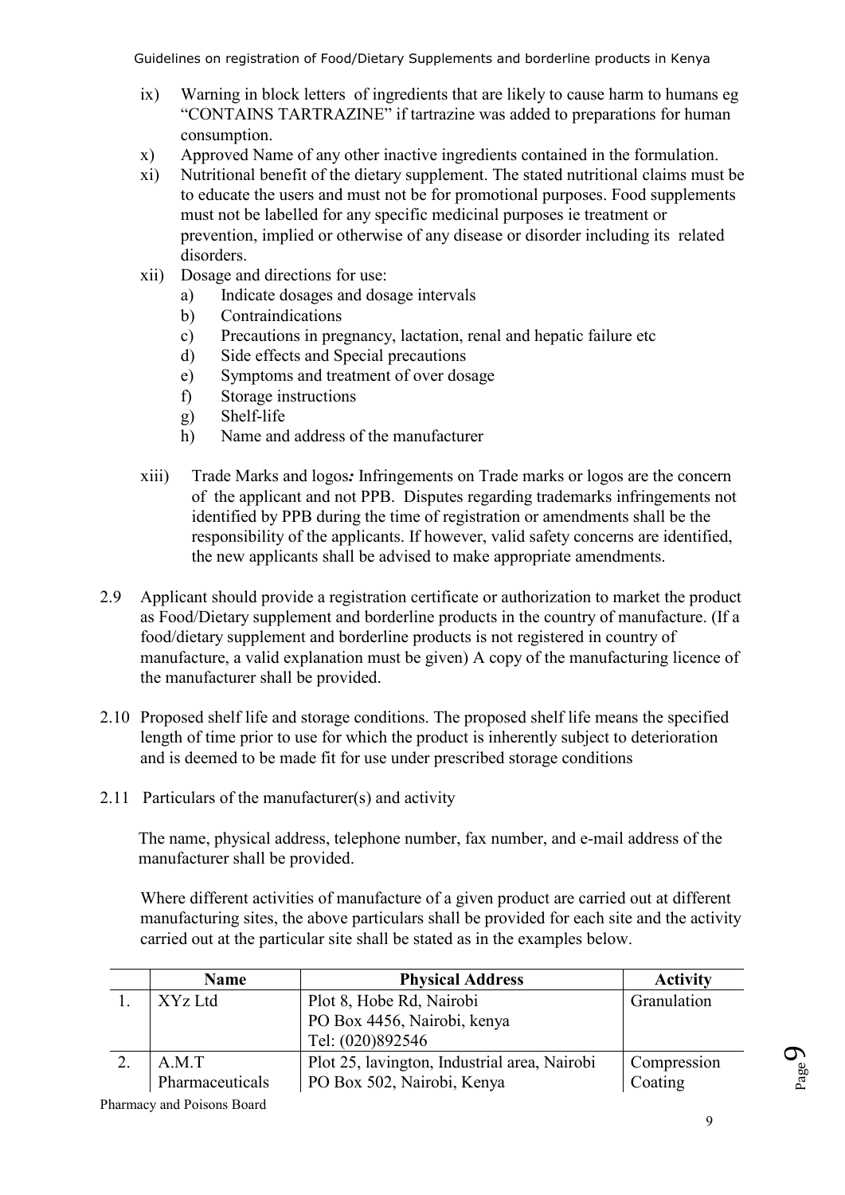- ix) Warning in block letters of ingredients that are likely to cause harm to humans eg "CONTAINS TARTRAZINE" if tartrazine was added to preparations for human consumption.
- x) Approved Name of any other inactive ingredients contained in the formulation.
- xi) Nutritional benefit of the dietary supplement. The stated nutritional claims must be to educate the users and must not be for promotional purposes. Food supplements must not be labelled for any specific medicinal purposes ie treatment or prevention, implied or otherwise of any disease or disorder including its related disorders.
- xii) Dosage and directions for use:
	- a) Indicate dosages and dosage intervals
	- b) Contraindications
	- c) Precautions in pregnancy, lactation, renal and hepatic failure etc
	- d) Side effects and Special precautions
	- e) Symptoms and treatment of over dosage
	- f) Storage instructions
	- g) Shelf-life
	- h) Name and address of the manufacturer
- xiii) Trade Marks and logos*:* Infringements on Trade marks or logos are the concern of the applicant and not PPB. Disputes regarding trademarks infringements not identified by PPB during the time of registration or amendments shall be the responsibility of the applicants. If however, valid safety concerns are identified, the new applicants shall be advised to make appropriate amendments.
- 2.9 Applicant should provide a registration certificate or authorization to market the product as Food/Dietary supplement and borderline products in the country of manufacture. (If a food/dietary supplement and borderline products is not registered in country of manufacture, a valid explanation must be given) A copy of the manufacturing licence of the manufacturer shall be provided.
- 2.10 Proposed shelf life and storage conditions. The proposed shelf life means the specified length of time prior to use for which the product is inherently subject to deterioration and is deemed to be made fit for use under prescribed storage conditions
- 2.11 Particulars of the manufacturer(s) and activity

The name, physical address, telephone number, fax number, and e-mail address of the manufacturer shall be provided.

Where different activities of manufacture of a given product are carried out at different manufacturing sites, the above particulars shall be provided for each site and the activity carried out at the particular site shall be stated as in the examples below.

| <b>Name</b>     | <b>Physical Address</b>                      | <b>Activity</b> |
|-----------------|----------------------------------------------|-----------------|
| XYz Ltd         | Plot 8, Hobe Rd, Nairobi                     | Granulation     |
|                 | PO Box 4456, Nairobi, kenya                  |                 |
|                 | Tel: (020)892546                             |                 |
| A.M.T           | Plot 25, lavington, Industrial area, Nairobi | Compression     |
| Pharmaceuticals | PO Box 502, Nairobi, Kenya                   | Coating         |

Pharmacy and Poisons Board

Page<sup>9</sup>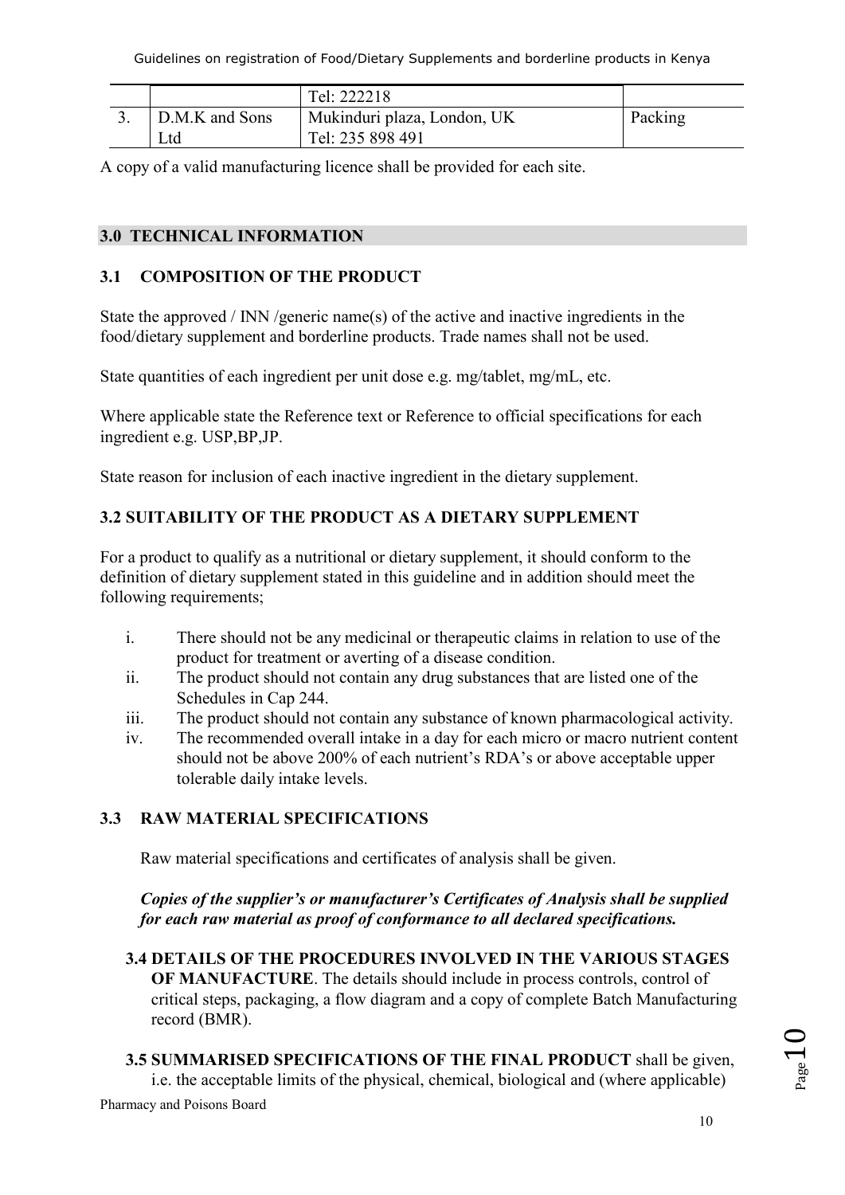|                | Tel: 222218                 |         |
|----------------|-----------------------------|---------|
| D.M.K and Sons | Mukinduri plaza, London, UK | Packing |
| Ltd            | Tel: 235 898 491            |         |

A copy of a valid manufacturing licence shall be provided for each site.

# **3.0 TECHNICAL INFORMATION**

# **3.1 COMPOSITION OF THE PRODUCT**

State the approved / INN /generic name(s) of the active and inactive ingredients in the food/dietary supplement and borderline products. Trade names shall not be used.

State quantities of each ingredient per unit dose e.g. mg/tablet, mg/mL, etc.

Where applicable state the Reference text or Reference to official specifications for each ingredient e.g. USP,BP,JP.

State reason for inclusion of each inactive ingredient in the dietary supplement.

# **3.2 SUITABILITY OF THE PRODUCT AS A DIETARY SUPPLEMENT**

For a product to qualify as a nutritional or dietary supplement, it should conform to the definition of dietary supplement stated in this guideline and in addition should meet the following requirements;

- i. There should not be any medicinal or therapeutic claims in relation to use of the product for treatment or averting of a disease condition.
- ii. The product should not contain any drug substances that are listed one of the Schedules in Cap 244.
- iii. The product should not contain any substance of known pharmacological activity.
- iv. The recommended overall intake in a day for each micro or macro nutrient content should not be above 200% of each nutrient's RDA's or above acceptable upper tolerable daily intake levels.

# **3.3 RAW MATERIAL SPECIFICATIONS**

Raw material specifications and certificates of analysis shall be given.

*Copies of the supplier's or manufacturer's Certificates of Analysis shall be supplied for each raw material as proof of conformance to all declared specifications.* 

# **3.4 DETAILS OF THE PROCEDURES INVOLVED IN THE VARIOUS STAGES**

**OF MANUFACTURE**. The details should include in process controls, control of critical steps, packaging, a flow diagram and a copy of complete Batch Manufacturing record (BMR).

Pharmacy and Poisons Board **3.5 SUMMARISED SPECIFICATIONS OF THE FINAL PRODUCT** shall be given, i.e. the acceptable limits of the physical, chemical, biological and (where applicable)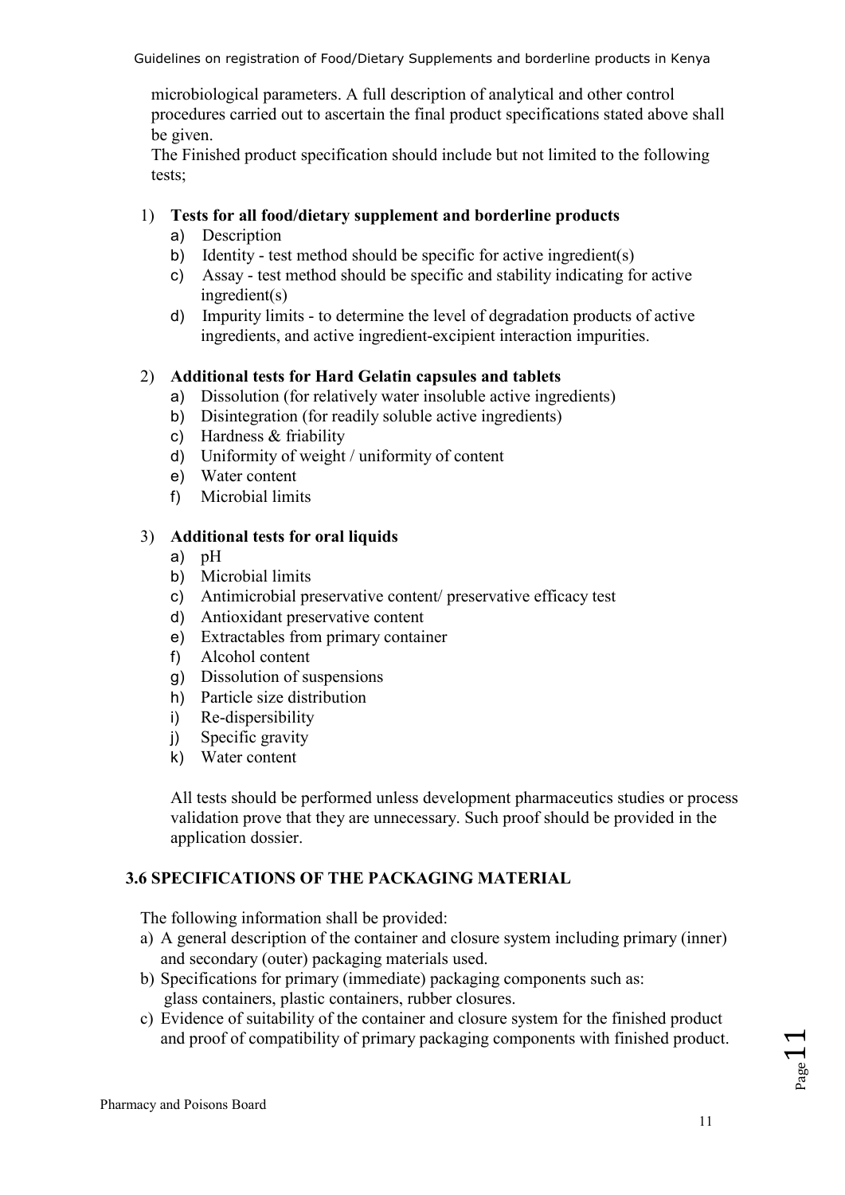microbiological parameters. A full description of analytical and other control procedures carried out to ascertain the final product specifications stated above shall be given.

The Finished product specification should include but not limited to the following tests;

# 1) **Tests for all food/dietary supplement and borderline products**

- a) Description
- b) Identity test method should be specific for active ingredient(s)
- c) Assay test method should be specific and stability indicating for active ingredient(s)
- d) Impurity limits to determine the level of degradation products of active ingredients, and active ingredient-excipient interaction impurities.

# 2) **Additional tests for Hard Gelatin capsules and tablets**

- a) Dissolution (for relatively water insoluble active ingredients)
- b) Disintegration (for readily soluble active ingredients)
- c) Hardness & friability
- d) Uniformity of weight / uniformity of content
- e) Water content
- f) Microbial limits

### 3) **Additional tests for oral liquids**

- a) pH
- b) Microbial limits
- c) Antimicrobial preservative content/ preservative efficacy test
- d) Antioxidant preservative content
- e) Extractables from primary container
- f) Alcohol content
- g) Dissolution of suspensions
- h) Particle size distribution
- i) Re-dispersibility
- j) Specific gravity
- k) Water content

All tests should be performed unless development pharmaceutics studies or process validation prove that they are unnecessary. Such proof should be provided in the application dossier.

# **3.6 SPECIFICATIONS OF THE PACKAGING MATERIAL**

The following information shall be provided:

- a) A general description of the container and closure system including primary (inner) and secondary (outer) packaging materials used.
- b) Specifications for primary (immediate) packaging components such as: glass containers, plastic containers, rubber closures.
- c) Evidence of suitability of the container and closure system for the finished product and proof of compatibility of primary packaging components with finished product.

 $_{\rm Page}11$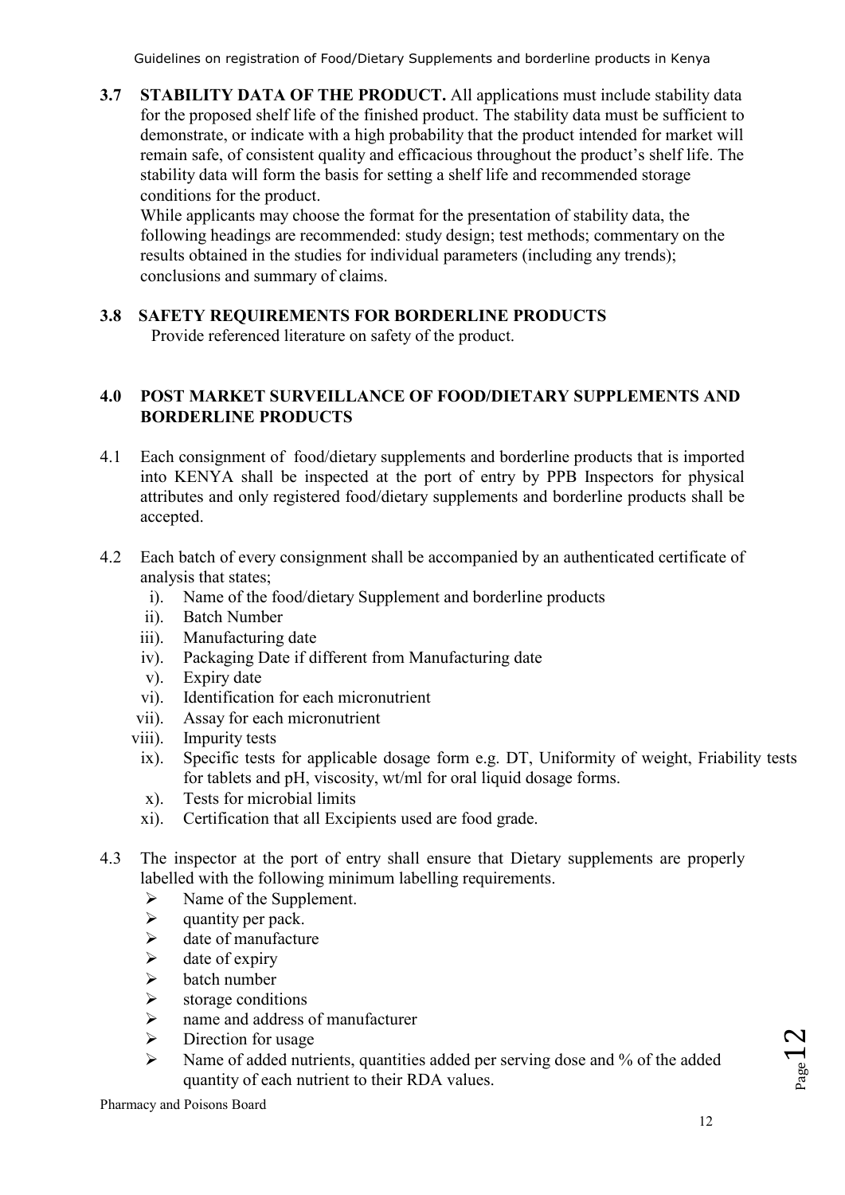**3.7 STABILITY DATA OF THE PRODUCT.** All applications must include stability data for the proposed shelf life of the finished product. The stability data must be sufficient to demonstrate, or indicate with a high probability that the product intended for market will remain safe, of consistent quality and efficacious throughout the product's shelf life. The stability data will form the basis for setting a shelf life and recommended storage conditions for the product.

While applicants may choose the format for the presentation of stability data, the following headings are recommended: study design; test methods; commentary on the results obtained in the studies for individual parameters (including any trends); conclusions and summary of claims.

# **3.8 SAFETY REQUIREMENTS FOR BORDERLINE PRODUCTS**

Provide referenced literature on safety of the product.

# **4.0 POST MARKET SURVEILLANCE OF FOOD/DIETARY SUPPLEMENTS AND BORDERLINE PRODUCTS**

- 4.1 Each consignment of food/dietary supplements and borderline products that is imported into KENYA shall be inspected at the port of entry by PPB Inspectors for physical attributes and only registered food/dietary supplements and borderline products shall be accepted.
- 4.2 Each batch of every consignment shall be accompanied by an authenticated certificate of analysis that states;
	- i). Name of the food/dietary Supplement and borderline products
	- ii). Batch Number
	- iii). Manufacturing date
	- iv). Packaging Date if different from Manufacturing date
	- v). Expiry date
	- vi). Identification for each micronutrient
	- vii). Assay for each micronutrient
	- viii). Impurity tests
		- ix). Specific tests for applicable dosage form e.g. DT, Uniformity of weight, Friability tests for tablets and pH, viscosity, wt/ml for oral liquid dosage forms.
		- x). Tests for microbial limits
		- xi). Certification that all Excipients used are food grade.
- 4.3 The inspector at the port of entry shall ensure that Dietary supplements are properly labelled with the following minimum labelling requirements.
	- $\triangleright$  Name of the Supplement.
	- $\triangleright$  quantity per pack.
	- $\triangleright$  date of manufacture
	- $\triangleright$  date of expiry
	- $\triangleright$  batch number<br> $\triangleright$  storage condit
	- $\triangleright$  storage conditions<br> $\triangleright$  name and address
	- name and address of manufacturer
	- $\triangleright$  Direction for usage
	- Name of added nutrients, quantities added per serving dose and % of the added quantity of each nutrient to their RDA values.

 $P_{\text{age}}12$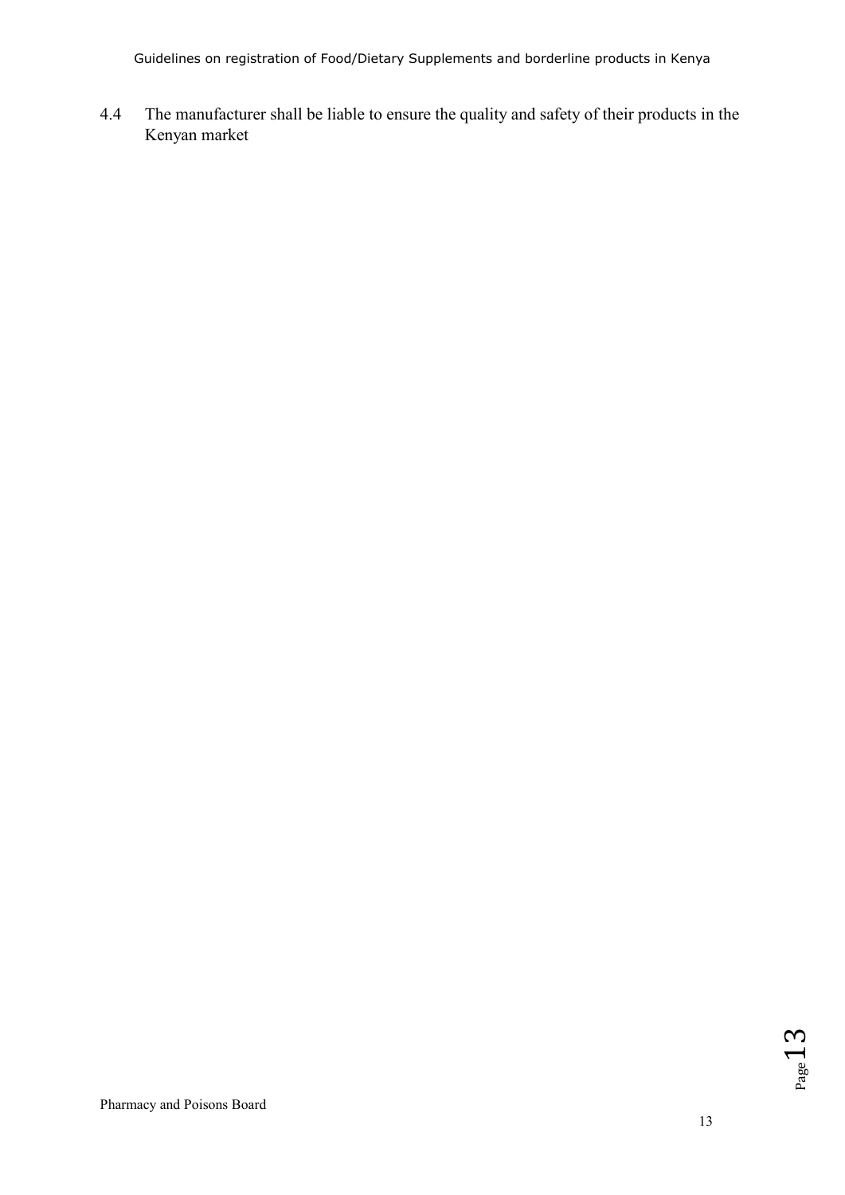4.4 The manufacturer shall be liable to ensure the quality and safety of their products in the Kenyan market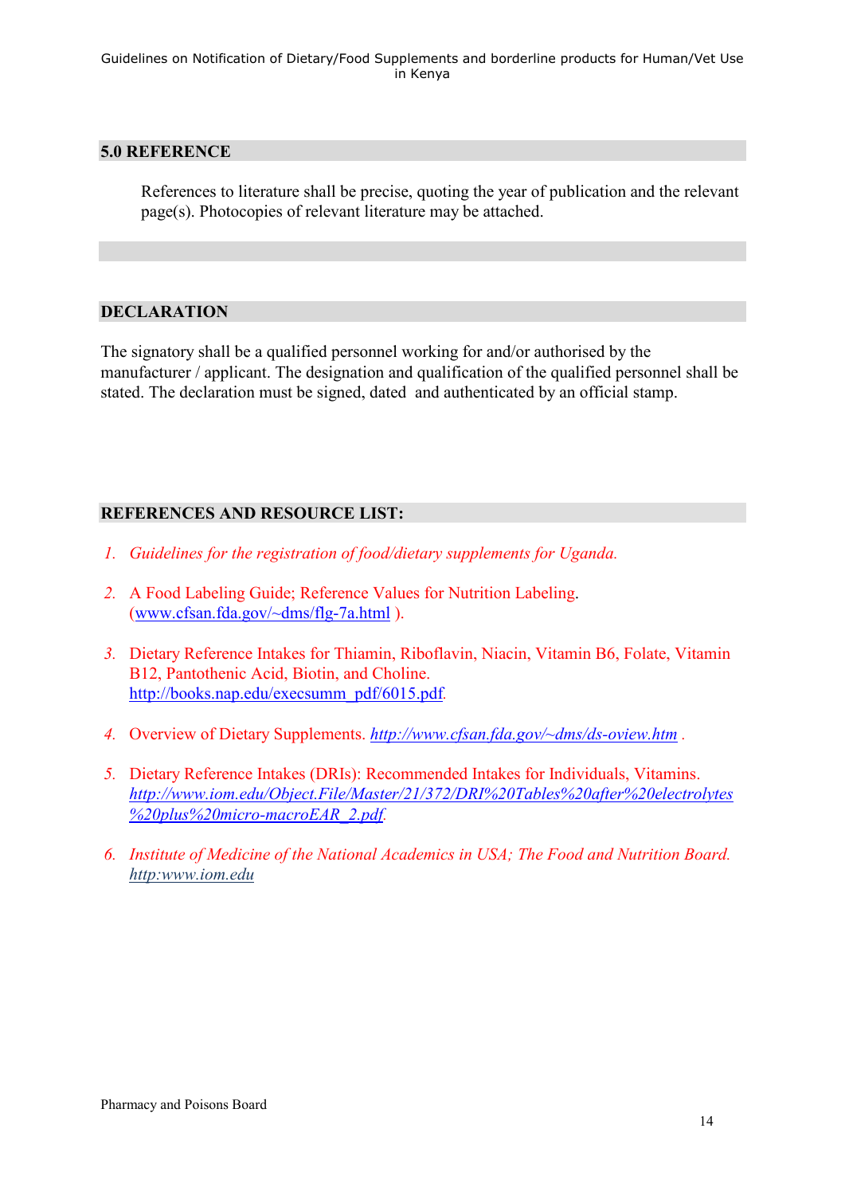#### **5.0 REFERENCE**

References to literature shall be precise, quoting the year of publication and the relevant page(s). Photocopies of relevant literature may be attached.

# **DECLARATION**

The signatory shall be a qualified personnel working for and/or authorised by the manufacturer / applicant. The designation and qualification of the qualified personnel shall be stated. The declaration must be signed, dated and authenticated by an official stamp.

# **REFERENCES AND RESOURCE LIST:**

- *1. Guidelines for the registration of food/dietary supplements for Uganda.*
- *2.* A Food Labeling Guide; Reference Values for Nutrition Labeling. (www.cfsan.fda.gov/~dms/flg-7a.html ).
- *3.* Dietary Reference Intakes for Thiamin, Riboflavin, Niacin, Vitamin B6, Folate, Vitamin B12, Pantothenic Acid, Biotin, and Choline. http://books.nap.edu/execsumm\_pdf/6015.pdf*.*
- *4.* Overview of Dietary Supplements. *http://www.cfsan.fda.gov/~dms/ds-oview.htm .*
- *5.* Dietary Reference Intakes (DRIs): Recommended Intakes for Individuals, Vitamins. *http://www.iom.edu/Object.File/Master/21/372/DRI%20Tables%20after%20electrolytes %20plus%20micro-macroEAR\_2.pdf.*
- *6. Institute of Medicine of the National Academics in USA; The Food and Nutrition Board. http:www.iom.edu*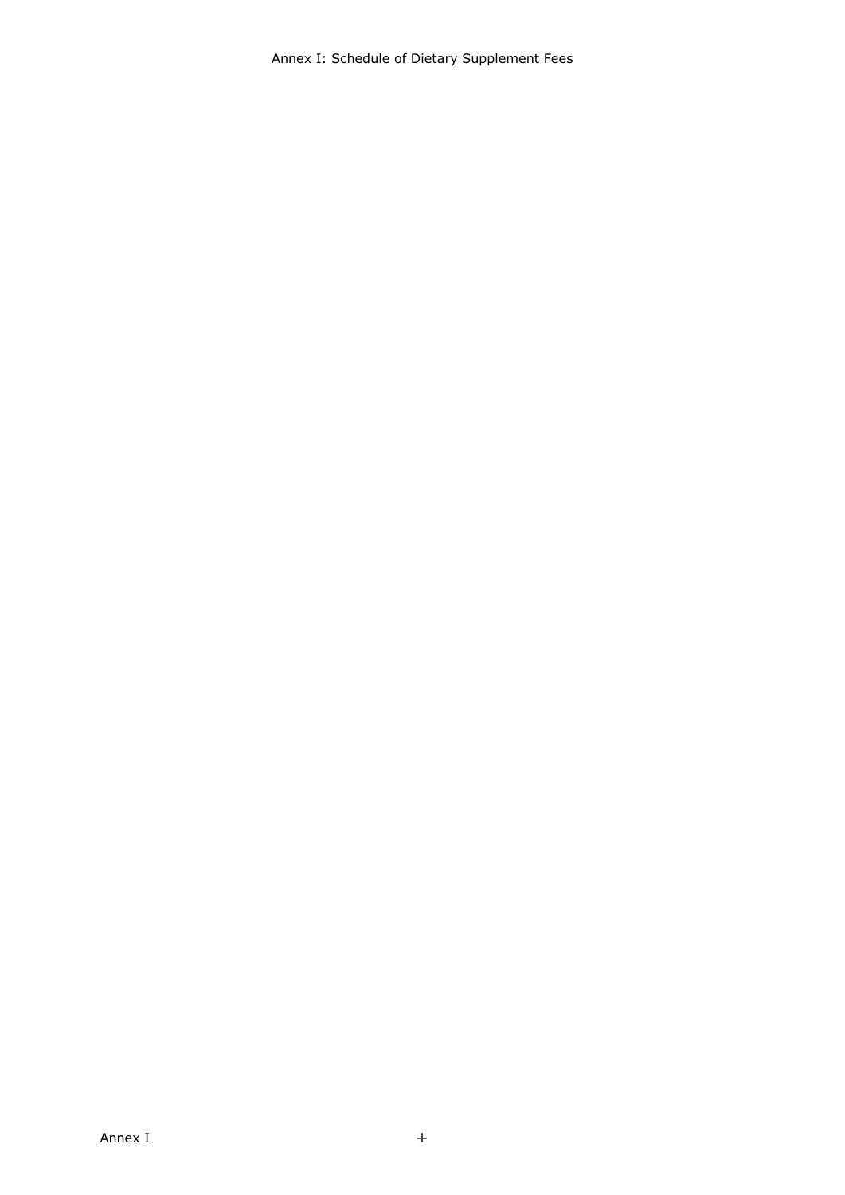Annex I: Schedule of Dietary Supplement Fees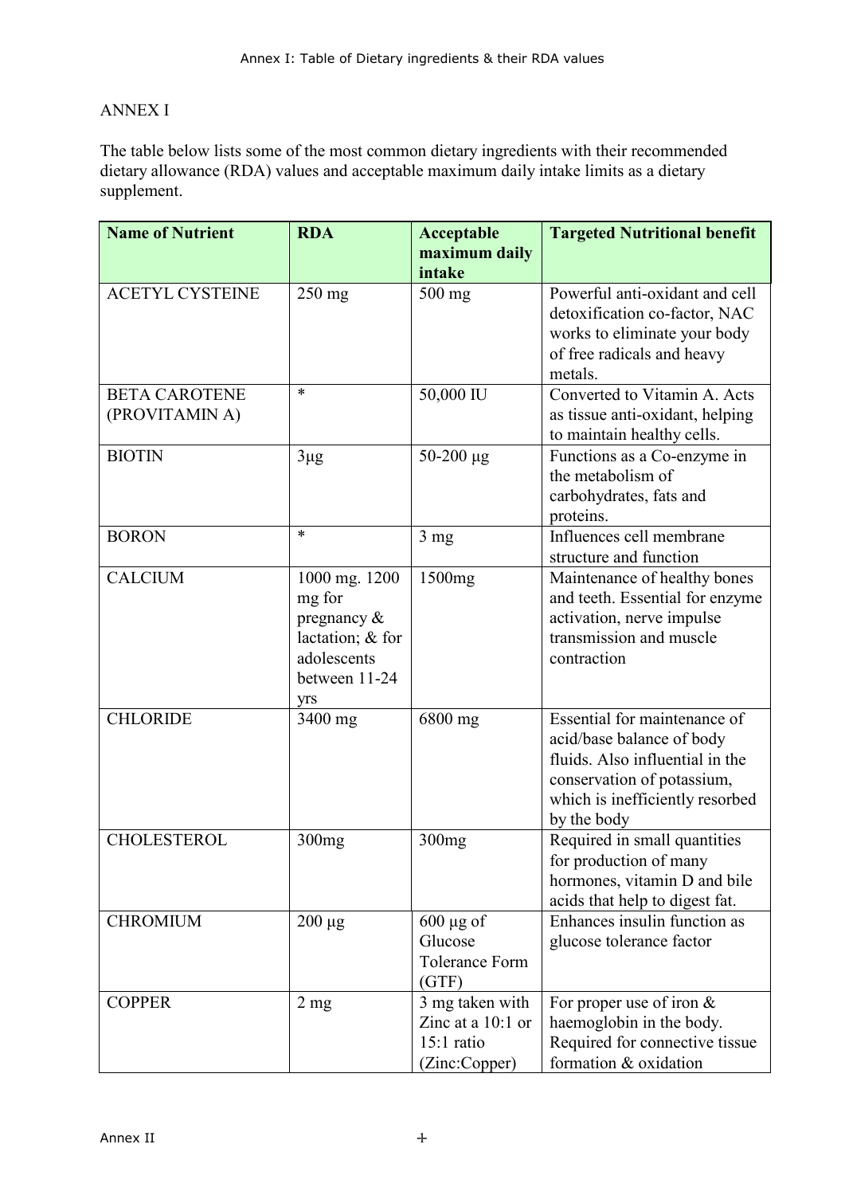# ANNEX I

The table below lists some of the most common dietary ingredients with their recommended dietary allowance (RDA) values and acceptable maximum daily intake limits as a dietary supplement.

| <b>Name of Nutrient</b>                | <b>RDA</b>                                                                                           | Acceptable                                                            | <b>Targeted Nutritional benefit</b>                                                                                                                                          |
|----------------------------------------|------------------------------------------------------------------------------------------------------|-----------------------------------------------------------------------|------------------------------------------------------------------------------------------------------------------------------------------------------------------------------|
|                                        |                                                                                                      | maximum daily                                                         |                                                                                                                                                                              |
|                                        |                                                                                                      | intake                                                                |                                                                                                                                                                              |
| <b>ACETYL CYSTEINE</b>                 | $250$ mg                                                                                             | 500 mg                                                                | Powerful anti-oxidant and cell<br>detoxification co-factor, NAC<br>works to eliminate your body<br>of free radicals and heavy<br>metals.                                     |
| <b>BETA CAROTENE</b><br>(PROVITAMIN A) | $\ast$                                                                                               | 50,000 IU                                                             | Converted to Vitamin A. Acts<br>as tissue anti-oxidant, helping<br>to maintain healthy cells.                                                                                |
| <b>BIOTIN</b>                          | $3\mu$ g                                                                                             | $50-200 \mu g$                                                        | Functions as a Co-enzyme in<br>the metabolism of<br>carbohydrates, fats and<br>proteins.                                                                                     |
| <b>BORON</b>                           | $\ast$                                                                                               | $3 \text{ mg}$                                                        | Influences cell membrane<br>structure and function                                                                                                                           |
| <b>CALCIUM</b>                         | 1000 mg. 1200<br>mg for<br>pregnancy $\&$<br>lactation; & for<br>adolescents<br>between 11-24<br>yrs | 1500mg                                                                | Maintenance of healthy bones<br>and teeth. Essential for enzyme<br>activation, nerve impulse<br>transmission and muscle<br>contraction                                       |
| <b>CHLORIDE</b>                        | 3400 mg                                                                                              | 6800 mg                                                               | Essential for maintenance of<br>acid/base balance of body<br>fluids. Also influential in the<br>conservation of potassium,<br>which is inefficiently resorbed<br>by the body |
| <b>CHOLESTEROL</b>                     | 300mg                                                                                                | 300mg                                                                 | Required in small quantities<br>for production of many<br>hormones, vitamin D and bile<br>acids that help to digest fat.                                                     |
| <b>CHROMIUM</b>                        | $200 \mu g$                                                                                          | $600 \mu g$ of<br>Glucose<br><b>Tolerance Form</b><br>(GTF)           | Enhances insulin function as<br>glucose tolerance factor                                                                                                                     |
| <b>COPPER</b>                          | $2 \text{ mg}$                                                                                       | 3 mg taken with<br>Zinc at a $10:1$ or<br>15:1 ratio<br>(Zinc:Copper) | For proper use of iron $&$<br>haemoglobin in the body.<br>Required for connective tissue<br>formation & oxidation                                                            |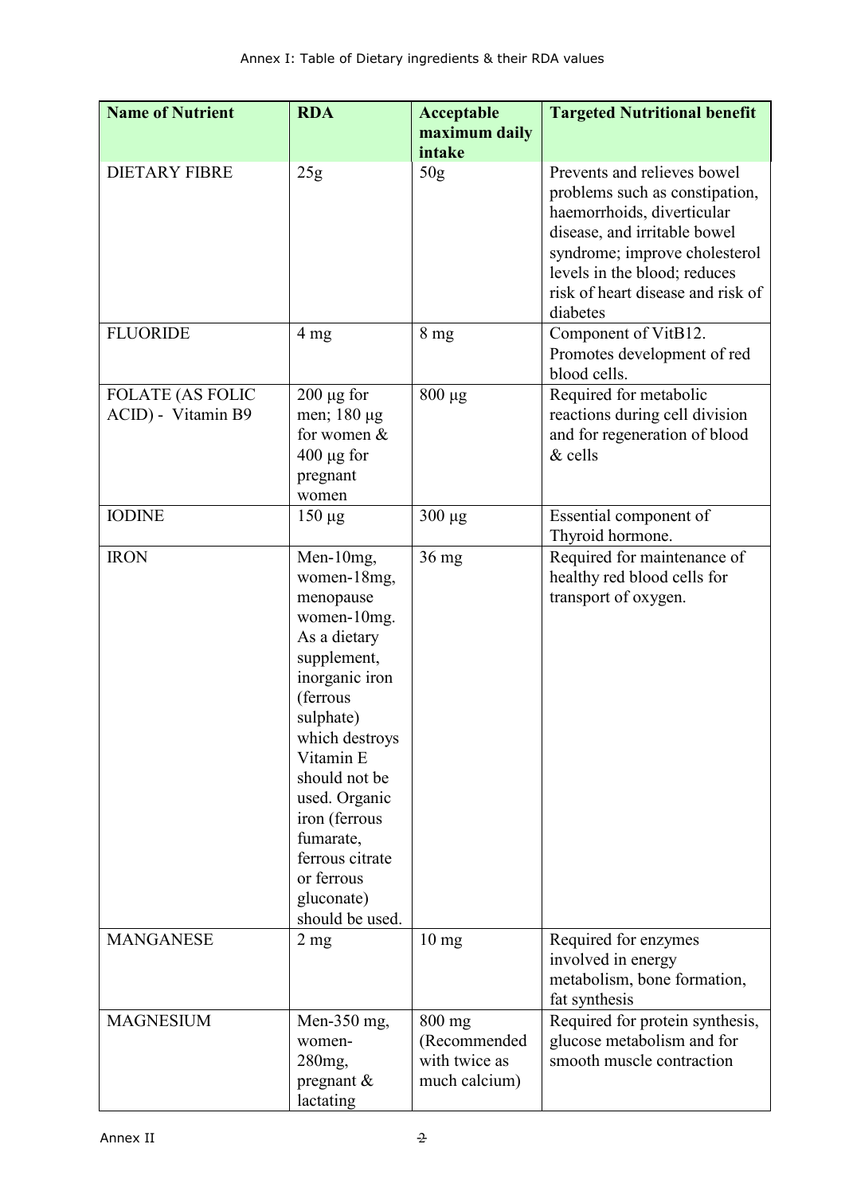| <b>Name of Nutrient</b>                       | <b>RDA</b>                                                                                                                                                                                                                                                                                      | Acceptable<br>maximum daily                                | <b>Targeted Nutritional benefit</b>                                                                                                                                                                                                           |
|-----------------------------------------------|-------------------------------------------------------------------------------------------------------------------------------------------------------------------------------------------------------------------------------------------------------------------------------------------------|------------------------------------------------------------|-----------------------------------------------------------------------------------------------------------------------------------------------------------------------------------------------------------------------------------------------|
|                                               |                                                                                                                                                                                                                                                                                                 | intake                                                     |                                                                                                                                                                                                                                               |
| <b>DIETARY FIBRE</b>                          | 25g                                                                                                                                                                                                                                                                                             | 50g                                                        | Prevents and relieves bowel<br>problems such as constipation,<br>haemorrhoids, diverticular<br>disease, and irritable bowel<br>syndrome; improve cholesterol<br>levels in the blood; reduces<br>risk of heart disease and risk of<br>diabetes |
| <b>FLUORIDE</b>                               | 4 <sub>mg</sub>                                                                                                                                                                                                                                                                                 | 8 <sub>mg</sub>                                            | Component of VitB12.<br>Promotes development of red<br>blood cells.                                                                                                                                                                           |
| <b>FOLATE (AS FOLIC</b><br>ACID) - Vitamin B9 | $200 \mu g$ for<br>men; 180 µg<br>for women $&$<br>$400 \mu g$ for<br>pregnant<br>women                                                                                                                                                                                                         | $800 \mu g$                                                | Required for metabolic<br>reactions during cell division<br>and for regeneration of blood<br>& cells                                                                                                                                          |
| <b>IODINE</b>                                 | $150 \mu g$                                                                                                                                                                                                                                                                                     | $300 \mu g$                                                | Essential component of<br>Thyroid hormone.                                                                                                                                                                                                    |
| <b>IRON</b>                                   | Men-10mg,<br>women-18mg,<br>menopause<br>women-10mg.<br>As a dietary<br>supplement,<br>inorganic iron<br>(ferrous<br>sulphate)<br>which destroys<br>Vitamin E<br>should not be<br>used. Organic<br>iron (ferrous<br>fumarate,<br>ferrous citrate<br>or ferrous<br>gluconate)<br>should be used. | $36$ mg                                                    | Required for maintenance of<br>healthy red blood cells for<br>transport of oxygen.                                                                                                                                                            |
| <b>MANGANESE</b>                              | 2 <sub>mg</sub>                                                                                                                                                                                                                                                                                 | $10 \text{ mg}$                                            | Required for enzymes<br>involved in energy<br>metabolism, bone formation,<br>fat synthesis                                                                                                                                                    |
| <b>MAGNESIUM</b>                              | Men-350 mg,<br>women-<br>280mg,<br>pregnant $\&$<br>lactating                                                                                                                                                                                                                                   | $800$ mg<br>(Recommended<br>with twice as<br>much calcium) | Required for protein synthesis,<br>glucose metabolism and for<br>smooth muscle contraction                                                                                                                                                    |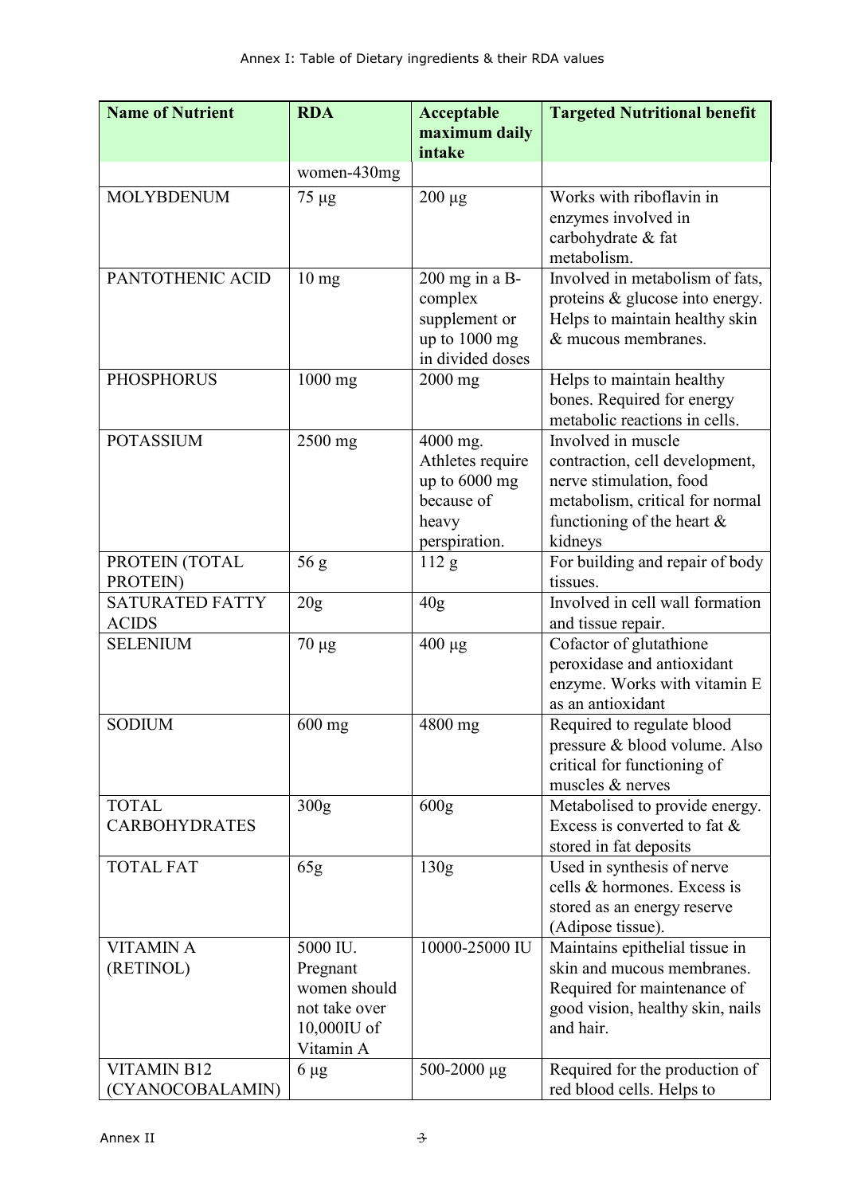| <b>Name of Nutrient</b> | <b>RDA</b>       | <b>Acceptable</b>                 | <b>Targeted Nutritional benefit</b>                          |
|-------------------------|------------------|-----------------------------------|--------------------------------------------------------------|
|                         |                  | maximum daily                     |                                                              |
|                         |                  | intake                            |                                                              |
|                         | women-430mg      |                                   |                                                              |
| <b>MOLYBDENUM</b>       | 75 µg            | $200 \mu g$                       | Works with riboflavin in                                     |
|                         |                  |                                   | enzymes involved in                                          |
|                         |                  |                                   | carbohydrate & fat                                           |
|                         |                  |                                   | metabolism.                                                  |
| PANTOTHENIC ACID        | $10 \text{ mg}$  | 200 mg in a B-                    | Involved in metabolism of fats,                              |
|                         |                  | complex                           | proteins & glucose into energy.                              |
|                         |                  | supplement or                     | Helps to maintain healthy skin<br>& mucous membranes.        |
|                         |                  | up to 1000 mg<br>in divided doses |                                                              |
| <b>PHOSPHORUS</b>       | $1000$ mg        | $2000$ mg                         | Helps to maintain healthy                                    |
|                         |                  |                                   | bones. Required for energy                                   |
|                         |                  |                                   | metabolic reactions in cells.                                |
| <b>POTASSIUM</b>        | $2500$ mg        | 4000 mg.                          | Involved in muscle                                           |
|                         |                  | Athletes require                  | contraction, cell development,                               |
|                         |                  | up to $6000$ mg                   | nerve stimulation, food                                      |
|                         |                  | because of                        | metabolism, critical for normal                              |
|                         |                  | heavy                             | functioning of the heart $\&$                                |
|                         |                  | perspiration.                     | kidneys                                                      |
| PROTEIN (TOTAL          | 56g              | 112 g                             | For building and repair of body                              |
| PROTEIN)                |                  |                                   | tissues.                                                     |
| <b>SATURATED FATTY</b>  | 20 <sub>g</sub>  | 40 <sub>g</sub>                   | Involved in cell wall formation                              |
| <b>ACIDS</b>            |                  |                                   | and tissue repair.                                           |
| <b>SELENIUM</b>         | $70 \mu g$       | $400 \mu g$                       | Cofactor of glutathione                                      |
|                         |                  |                                   | peroxidase and antioxidant                                   |
|                         |                  |                                   | enzyme. Works with vitamin E                                 |
|                         |                  |                                   | as an antioxidant                                            |
| <b>SODIUM</b>           | $600$ mg         | 4800 mg                           | Required to regulate blood                                   |
|                         |                  |                                   | pressure & blood volume. Also<br>critical for functioning of |
|                         |                  |                                   | muscles & nerves                                             |
| <b>TOTAL</b>            | 300 <sub>g</sub> | 600 <sub>g</sub>                  | Metabolised to provide energy.                               |
| <b>CARBOHYDRATES</b>    |                  |                                   | Excess is converted to fat &                                 |
|                         |                  |                                   | stored in fat deposits                                       |
| <b>TOTAL FAT</b>        | 65g              | 130g                              | Used in synthesis of nerve                                   |
|                         |                  |                                   | cells & hormones. Excess is                                  |
|                         |                  |                                   | stored as an energy reserve                                  |
|                         |                  |                                   | (Adipose tissue).                                            |
| <b>VITAMIN A</b>        | 5000 IU.         | 10000-25000 IU                    | Maintains epithelial tissue in                               |
| (RETINOL)               | Pregnant         |                                   | skin and mucous membranes.                                   |
|                         | women should     |                                   | Required for maintenance of                                  |
|                         | not take over    |                                   | good vision, healthy skin, nails                             |
|                         | $10,000$ IU of   |                                   | and hair.                                                    |
|                         | Vitamin A        |                                   |                                                              |
| <b>VITAMIN B12</b>      | $6 \mu g$        | 500-2000 $\mu$ g                  | Required for the production of                               |
| (CYANOCOBALAMIN)        |                  |                                   | red blood cells. Helps to                                    |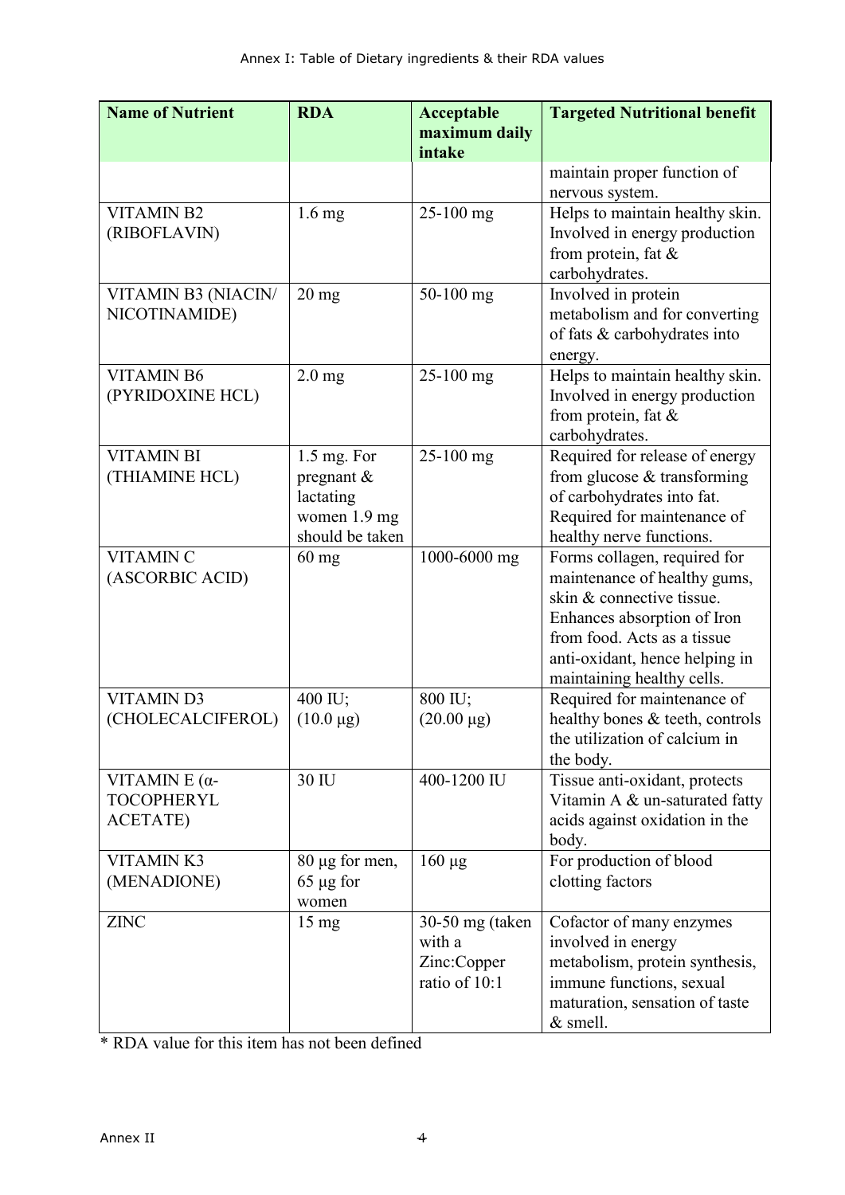| <b>Name of Nutrient</b>                                       | <b>RDA</b>                                                                | Acceptable                                                | <b>Targeted Nutritional benefit</b>                                                                                                                                                                                     |
|---------------------------------------------------------------|---------------------------------------------------------------------------|-----------------------------------------------------------|-------------------------------------------------------------------------------------------------------------------------------------------------------------------------------------------------------------------------|
|                                                               |                                                                           | maximum daily<br>intake                                   |                                                                                                                                                                                                                         |
|                                                               |                                                                           |                                                           | maintain proper function of<br>nervous system.                                                                                                                                                                          |
| <b>VITAMIN B2</b><br>(RIBOFLAVIN)                             | $1.6$ mg                                                                  | $25-100$ mg                                               | Helps to maintain healthy skin.<br>Involved in energy production<br>from protein, fat $\&$<br>carbohydrates.                                                                                                            |
| VITAMIN B3 (NIACIN/<br>NICOTINAMIDE)                          | $20$ mg                                                                   | 50-100 mg                                                 | Involved in protein<br>metabolism and for converting<br>of fats & carbohydrates into<br>energy.                                                                                                                         |
| <b>VITAMIN B6</b><br>(PYRIDOXINE HCL)                         | $2.0$ mg                                                                  | $25-100$ mg                                               | Helps to maintain healthy skin.<br>Involved in energy production<br>from protein, fat $\&$<br>carbohydrates.                                                                                                            |
| <b>VITAMIN BI</b><br>(THIAMINE HCL)                           | 1.5 mg. For<br>pregnant &<br>lactating<br>women 1.9 mg<br>should be taken | 25-100 mg                                                 | Required for release of energy<br>from glucose & transforming<br>of carbohydrates into fat.<br>Required for maintenance of<br>healthy nerve functions.                                                                  |
| <b>VITAMIN C</b><br>(ASCORBIC ACID)                           | $60$ mg                                                                   | 1000-6000 mg                                              | Forms collagen, required for<br>maintenance of healthy gums,<br>skin & connective tissue.<br>Enhances absorption of Iron<br>from food. Acts as a tissue<br>anti-oxidant, hence helping in<br>maintaining healthy cells. |
| <b>VITAMIN D3</b><br>(CHOLECALCIFEROL)                        | 400 IU;<br>$(10.0 \,\mu g)$                                               | 800 IU;<br>$(20.00 \,\mu g)$                              | Required for maintenance of<br>healthy bones & teeth, controls<br>the utilization of calcium in<br>the body.                                                                                                            |
| VITAMIN $E(\alpha$ -<br><b>TOCOPHERYL</b><br><b>ACETATE</b> ) | 30 IU                                                                     | 400-1200 IU                                               | Tissue anti-oxidant, protects<br>Vitamin A & un-saturated fatty<br>acids against oxidation in the<br>body.                                                                                                              |
| <b>VITAMINK3</b><br>(MENADIONE)                               | $80 \mu g$ for men,<br>$65 \mu g$ for<br>women                            | $160 \mu g$                                               | For production of blood<br>clotting factors                                                                                                                                                                             |
| <b>ZINC</b>                                                   | $15 \text{ mg}$                                                           | 30-50 mg (taken<br>with a<br>Zinc:Copper<br>ratio of 10:1 | Cofactor of many enzymes<br>involved in energy<br>metabolism, protein synthesis,<br>immune functions, sexual<br>maturation, sensation of taste<br>& smell.                                                              |

\* RDA value for this item has not been defined